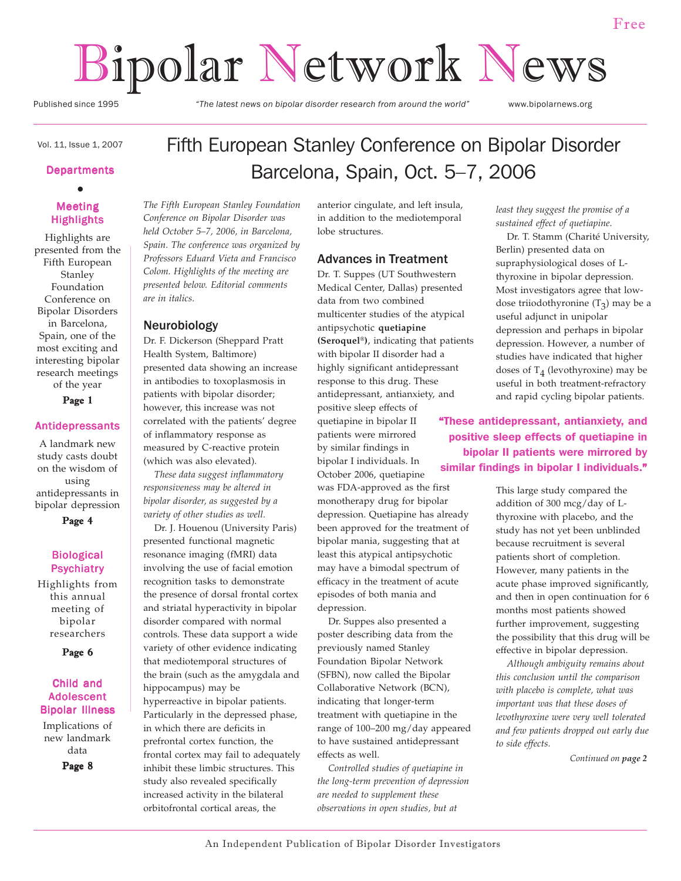# Bipolar Network News

Published since 1995 *"The latest news on bipolar disorder research from around the world"* www.bipolarnews.org

# Vol. 11, Issue 1, 2007

## **Departments**  $\bullet$

#### Meeting **Highlights**

Highlights are presented from the Fifth European Stanley Foundation Conference on Bipolar Disorders in Barcelona, Spain, one of the most exciting and interesting bipolar research meetings of the year

Page 1

#### Antidepressants

A landmark new study casts doubt on the wisdom of using antidepressants in bipolar depression

Page 4

#### Biological Psychiatry

Highlights from this annual meeting of bipolar researchers

Page 6

#### Child and Adolescent Bipolar Illness

Implications of new landmark data Page 8

Fifth European Stanley Conference on Bipolar Disorder Barcelona, Spain, Oct. 5–7, 2006

*The Fifth European Stanley Foundation Conference on Bipolar Disorder was held October 5–7, 2006, in Barcelona, Spain. The conference was organized by Professors Eduard Vieta and Francisco Colom. Highlights of the meeting are presented below. Editorial comments are in italics.*

#### Neurobiology

Dr. F. Dickerson (Sheppard Pratt Health System, Baltimore) presented data showing an increase in antibodies to toxoplasmosis in patients with bipolar disorder; however, this increase was not correlated with the patients' degree of inflammatory response as measured by C-reactive protein (which was also elevated).

 *These data suggest inflammatory responsiveness may be altered in bipolar disorder, as suggested by a variety of other studies as well.*

 Dr. J. Houenou (University Paris) presented functional magnetic resonance imaging (fMRI) data involving the use of facial emotion recognition tasks to demonstrate the presence of dorsal frontal cortex and striatal hyperactivity in bipolar disorder compared with normal controls. These data support a wide variety of other evidence indicating that mediotemporal structures of the brain (such as the amygdala and hippocampus) may be hyperreactive in bipolar patients. Particularly in the depressed phase, in which there are deficits in prefrontal cortex function, the frontal cortex may fail to adequately inhibit these limbic structures. This study also revealed specifically increased activity in the bilateral orbitofrontal cortical areas, the

anterior cingulate, and left insula, in addition to the mediotemporal lobe structures.

#### Advances in Treatment

Dr. T. Suppes (UT Southwestern Medical Center, Dallas) presented data from two combined multicenter studies of the atypical antipsychotic **quetiapine (Seroquel®)**, indicating that patients with bipolar II disorder had a highly significant antidepressant response to this drug. These antidepressant, antianxiety, and positive sleep effects of quetiapine in bipolar II patients were mirrored by similar findings in bipolar I individuals. In October 2006, quetiapine was FDA-approved as the first monotherapy drug for bipolar depression. Quetiapine has already been approved for the treatment of bipolar mania, suggesting that at least this atypical antipsychotic may have a bimodal spectrum of efficacy in the treatment of acute episodes of both mania and

 Dr. Suppes also presented a poster describing data from the previously named Stanley Foundation Bipolar Network (SFBN), now called the Bipolar Collaborative Network (BCN), indicating that longer-term treatment with quetiapine in the range of 100–200 mg/day appeared to have sustained antidepressant effects as well.

 *Controlled studies of quetiapine in the long-term prevention of depression are needed to supplement these observations in open studies, but at*

*least they suggest the promise of a sustained effect of quetiapine.*

 Dr. T. Stamm (Charité University, Berlin) presented data on supraphysiological doses of Lthyroxine in bipolar depression. Most investigators agree that lowdose triiodothyronine  $(T_3)$  may be a useful adjunct in unipolar depression and perhaps in bipolar depression. However, a number of studies have indicated that higher doses of  $T_4$  (levothyroxine) may be useful in both treatment-refractory and rapid cycling bipolar patients.

"These antidepressant, antianxiety, and positive sleep effects of quetiapine in bipolar II patients were mirrored by similar findings in bipolar I individuals."

> This large study compared the addition of 300 mcg/day of Lthyroxine with placebo, and the study has not yet been unblinded because recruitment is several patients short of completion. However, many patients in the acute phase improved significantly, and then in open continuation for 6 months most patients showed further improvement, suggesting the possibility that this drug will be effective in bipolar depression.

> *Although ambiguity remains about this conclusion until the comparison with placebo is complete, what was important was that these doses of levothyroxine were very well tolerated and few patients dropped out early due to side effects.*

> > *Continued on page 2*

depression.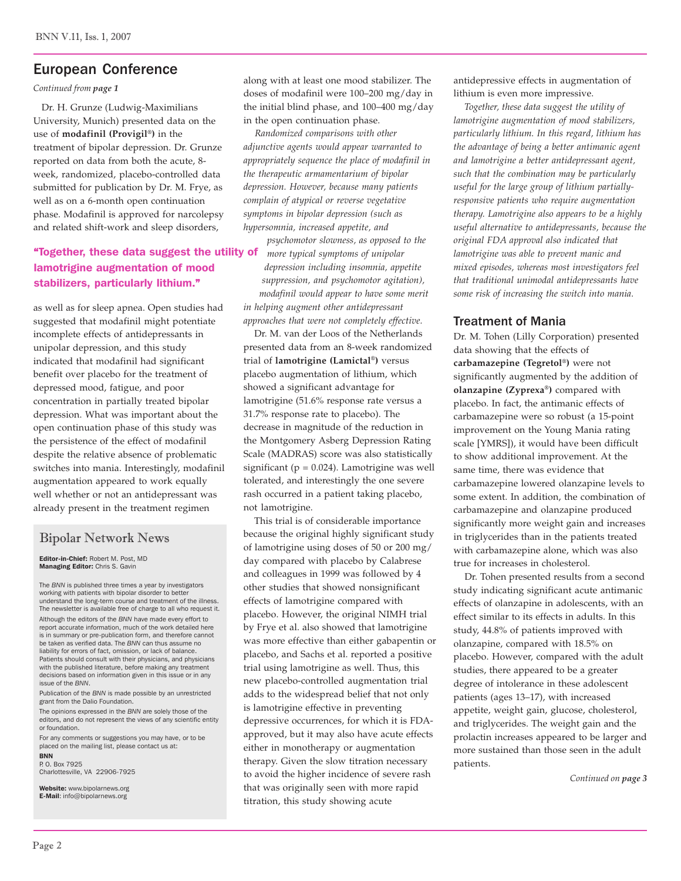## European Conference

*Continued from page 1*

 Dr. H. Grunze (Ludwig-Maximilians University, Munich) presented data on the use of **modafinil (Provigil®)** in the treatment of bipolar depression. Dr. Grunze reported on data from both the acute, 8 week, randomized, placebo-controlled data submitted for publication by Dr. M. Frye, as well as on a 6-month open continuation phase. Modafinil is approved for narcolepsy and related shift-work and sleep disorders,

## "Together, these data suggest the utility of *more typical symptoms of unipolar* lamotrigine augmentation of mood stabilizers, particularly lithium."

as well as for sleep apnea. Open studies had suggested that modafinil might potentiate incomplete effects of antidepressants in unipolar depression, and this study indicated that modafinil had significant benefit over placebo for the treatment of depressed mood, fatigue, and poor concentration in partially treated bipolar depression. What was important about the open continuation phase of this study was the persistence of the effect of modafinil despite the relative absence of problematic switches into mania. Interestingly, modafinil augmentation appeared to work equally well whether or not an antidepressant was already present in the treatment regimen

## Bipolar Network News

Editor-in-Chief: Robert M. Post, MD Managing Editor: Chris S. Gavin

The *BNN* is published three times a year by investigators working with patients with bipolar disorder to better understand the long-term course and treatment of the illness. The newsletter is available free of charge to all who request it. Although the editors of the *BNN* have made every effort to report accurate information, much of the work detailed here is in summary or pre-publication form, and therefore cannot be taken as verified data. The *BNN* can thus assume no liability for errors of fact, omission, or lack of balance. Patients should consult with their physicians, and physicians with the published literature, before making any treatment decisions based on information given in this issue or in any issue of the *BNN*.

Publication of the *BNN* is made possible by an unrestricted grant from the Dalio Foundation.

The opinions expressed in the *BNN* are solely those of the editors, and do not represent the views of any scientific entity or foundation.

For any comments or suggestions you may have, or to be placed on the mailing list, please contact us at: BNN

P. O. Box 7925 Charlottesville, VA 22906-7925

Website: www.bipolarnews.org<br>E-Mail: info@bipolarnews.org

along with at least one mood stabilizer. The doses of modafinil were 100–200 mg/day in the initial blind phase, and 100–400 mg/day in the open continuation phase.

 *Randomized comparisons with other adjunctive agents would appear warranted to appropriately sequence the place of modafinil in the therapeutic armamentarium of bipolar depression. However, because many patients complain of atypical or reverse vegetative symptoms in bipolar depression (such as hypersomnia, increased appetite, and*

*psychomotor slowness, as opposed to the depression including insomnia, appetite suppression, and psychomotor agitation), modafinil would appear to have some merit*

*in helping augment other antidepressant approaches that were not completely effective.*

 Dr. M. van der Loos of the Netherlands presented data from an 8-week randomized trial of **lamotrigine (Lamictal®)** versus placebo augmentation of lithium, which showed a significant advantage for lamotrigine (51.6% response rate versus a 31.7% response rate to placebo). The decrease in magnitude of the reduction in the Montgomery Asberg Depression Rating Scale (MADRAS) score was also statistically significant ( $p = 0.024$ ). Lamotrigine was well tolerated, and interestingly the one severe rash occurred in a patient taking placebo, not lamotrigine.

 This trial is of considerable importance because the original highly significant study of lamotrigine using doses of 50 or 200 mg/ day compared with placebo by Calabrese and colleagues in 1999 was followed by 4 other studies that showed nonsignificant effects of lamotrigine compared with placebo. However, the original NIMH trial by Frye et al. also showed that lamotrigine was more effective than either gabapentin or placebo, and Sachs et al. reported a positive trial using lamotrigine as well. Thus, this new placebo-controlled augmentation trial adds to the widespread belief that not only is lamotrigine effective in preventing depressive occurrences, for which it is FDAapproved, but it may also have acute effects either in monotherapy or augmentation therapy. Given the slow titration necessary to avoid the higher incidence of severe rash that was originally seen with more rapid titration, this study showing acute

antidepressive effects in augmentation of lithium is even more impressive.

*Together, these data suggest the utility of lamotrigine augmentation of mood stabilizers, particularly lithium. In this regard, lithium has the advantage of being a better antimanic agent and lamotrigine a better antidepressant agent, such that the combination may be particularly useful for the large group of lithium partiallyresponsive patients who require augmentation therapy. Lamotrigine also appears to be a highly useful alternative to antidepressants, because the original FDA approval also indicated that lamotrigine was able to prevent manic and mixed episodes, whereas most investigators feel that traditional unimodal antidepressants have some risk of increasing the switch into mania.*

## Treatment of Mania

Dr. M. Tohen (Lilly Corporation) presented data showing that the effects of **carbamazepine (Tegretol®)** were not significantly augmented by the addition of **olanzapine (Zyprexa®)** compared with placebo. In fact, the antimanic effects of carbamazepine were so robust (a 15-point improvement on the Young Mania rating scale [YMRS]), it would have been difficult to show additional improvement. At the same time, there was evidence that carbamazepine lowered olanzapine levels to some extent. In addition, the combination of carbamazepine and olanzapine produced significantly more weight gain and increases in triglycerides than in the patients treated with carbamazepine alone, which was also true for increases in cholesterol.

 Dr. Tohen presented results from a second study indicating significant acute antimanic effects of olanzapine in adolescents, with an effect similar to its effects in adults. In this study, 44.8% of patients improved with olanzapine, compared with 18.5% on placebo. However, compared with the adult studies, there appeared to be a greater degree of intolerance in these adolescent patients (ages 13–17), with increased appetite, weight gain, glucose, cholesterol, and triglycerides. The weight gain and the prolactin increases appeared to be larger and more sustained than those seen in the adult patients.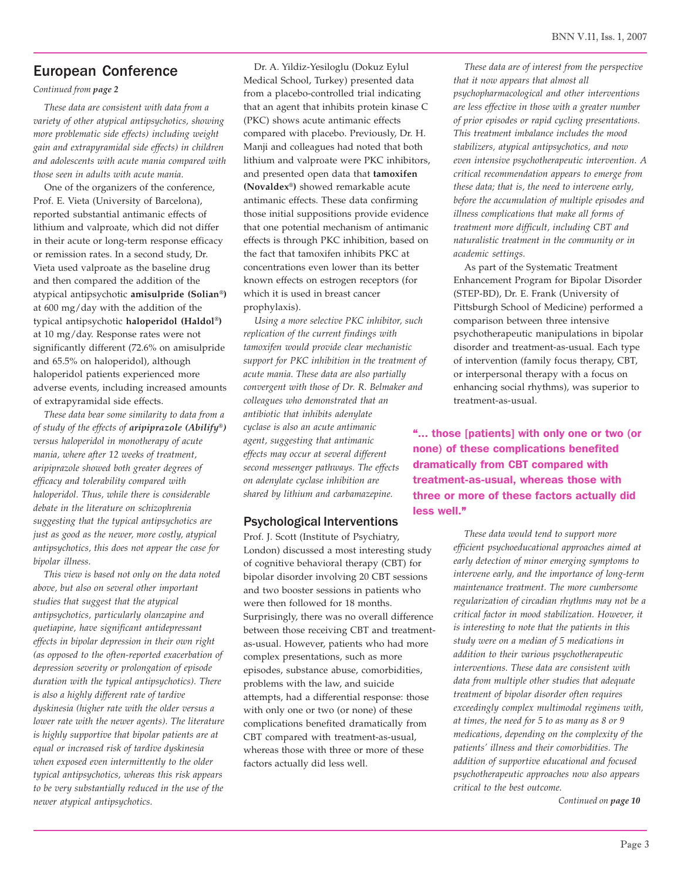## European Conference

*Continued from page 2*

*These data are consistent with data from a variety of other atypical antipsychotics, showing more problematic side effects) including weight gain and extrapyramidal side effects) in children and adolescents with acute mania compared with those seen in adults with acute mania.*

 One of the organizers of the conference, Prof. E. Vieta (University of Barcelona), reported substantial antimanic effects of lithium and valproate, which did not differ in their acute or long-term response efficacy or remission rates. In a second study, Dr. Vieta used valproate as the baseline drug and then compared the addition of the atypical antipsychotic **amisulpride (Solian®)** at 600 mg/day with the addition of the typical antipsychotic **haloperidol (Haldol®)** at 10 mg/day. Response rates were not significantly different (72.6% on amisulpride and 65.5% on haloperidol), although haloperidol patients experienced more adverse events, including increased amounts of extrapyramidal side effects.

*These data bear some similarity to data from a of study of the effects of aripiprazole (Abilify***®***) versus haloperidol in monotherapy of acute mania, where after 12 weeks of treatment, aripiprazole showed both greater degrees of efficacy and tolerability compared with haloperidol. Thus, while there is considerable debate in the literature on schizophrenia suggesting that the typical antipsychotics are just as good as the newer, more costly, atypical antipsychotics, this does not appear the case for bipolar illness.*

 *This view is based not only on the data noted above, but also on several other important studies that suggest that the atypical antipsychotics, particularly olanzapine and quetiapine, have significant antidepressant effects in bipolar depression in their own right (as opposed to the often-reported exacerbation of depression severity or prolongation of episode duration with the typical antipsychotics). There is also a highly different rate of tardive dyskinesia (higher rate with the older versus a lower rate with the newer agents). The literature is highly supportive that bipolar patients are at equal or increased risk of tardive dyskinesia when exposed even intermittently to the older typical antipsychotics, whereas this risk appears to be very substantially reduced in the use of the newer atypical antipsychotics.*

 Dr. A. Yildiz-Yesiloglu (Dokuz Eylul Medical School, Turkey) presented data from a placebo-controlled trial indicating that an agent that inhibits protein kinase C (PKC) shows acute antimanic effects compared with placebo. Previously, Dr. H. Manji and colleagues had noted that both lithium and valproate were PKC inhibitors, and presented open data that **tamoxifen (Novaldex®)** showed remarkable acute antimanic effects. These data confirming those initial suppositions provide evidence that one potential mechanism of antimanic effects is through PKC inhibition, based on the fact that tamoxifen inhibits PKC at concentrations even lower than its better known effects on estrogen receptors (for which it is used in breast cancer prophylaxis).

*Using a more selective PKC inhibitor, such replication of the current findings with tamoxifen would provide clear mechanistic support for PKC inhibition in the treatment of acute mania. These data are also partially convergent with those of Dr. R. Belmaker and colleagues who demonstrated that an antibiotic that inhibits adenylate cyclase is also an acute antimanic agent, suggesting that antimanic effects may occur at several different second messenger pathways. The effects on adenylate cyclase inhibition are shared by lithium and carbamazepine.*

#### Psychological Interventions

Prof. J. Scott (Institute of Psychiatry, London) discussed a most interesting study of cognitive behavioral therapy (CBT) for bipolar disorder involving 20 CBT sessions and two booster sessions in patients who were then followed for 18 months. Surprisingly, there was no overall difference between those receiving CBT and treatmentas-usual. However, patients who had more complex presentations, such as more episodes, substance abuse, comorbidities, problems with the law, and suicide attempts, had a differential response: those with only one or two (or none) of these complications benefited dramatically from CBT compared with treatment-as-usual, whereas those with three or more of these factors actually did less well.

*These data are of interest from the perspective that it now appears that almost all psychopharmacological and other interventions are less effective in those with a greater number of prior episodes or rapid cycling presentations. This treatment imbalance includes the mood stabilizers, atypical antipsychotics, and now even intensive psychotherapeutic intervention. A critical recommendation appears to emerge from these data; that is, the need to intervene early, before the accumulation of multiple episodes and illness complications that make all forms of treatment more difficult, including CBT and naturalistic treatment in the community or in academic settings.*

 As part of the Systematic Treatment Enhancement Program for Bipolar Disorder (STEP-BD), Dr. E. Frank (University of Pittsburgh School of Medicine) performed a comparison between three intensive psychotherapeutic manipulations in bipolar disorder and treatment-as-usual. Each type of intervention (family focus therapy, CBT, or interpersonal therapy with a focus on enhancing social rhythms), was superior to treatment-as-usual.

"... those [patients] with only one or two (or none) of these complications benefited dramatically from CBT compared with treatment-as-usual, whereas those with three or more of these factors actually did less well."

> *These data would tend to support more efficient psychoeducational approaches aimed at early detection of minor emerging symptoms to intervene early, and the importance of long-term maintenance treatment. The more cumbersome regularization of circadian rhythms may not be a critical factor in mood stabilization. However, it is interesting to note that the patients in this study were on a median of 5 medications in addition to their various psychotherapeutic interventions. These data are consistent with data from multiple other studies that adequate treatment of bipolar disorder often requires exceedingly complex multimodal regimens with, at times, the need for 5 to as many as 8 or 9 medications, depending on the complexity of the patients' illness and their comorbidities. The addition of supportive educational and focused psychotherapeutic approaches now also appears critical to the best outcome.*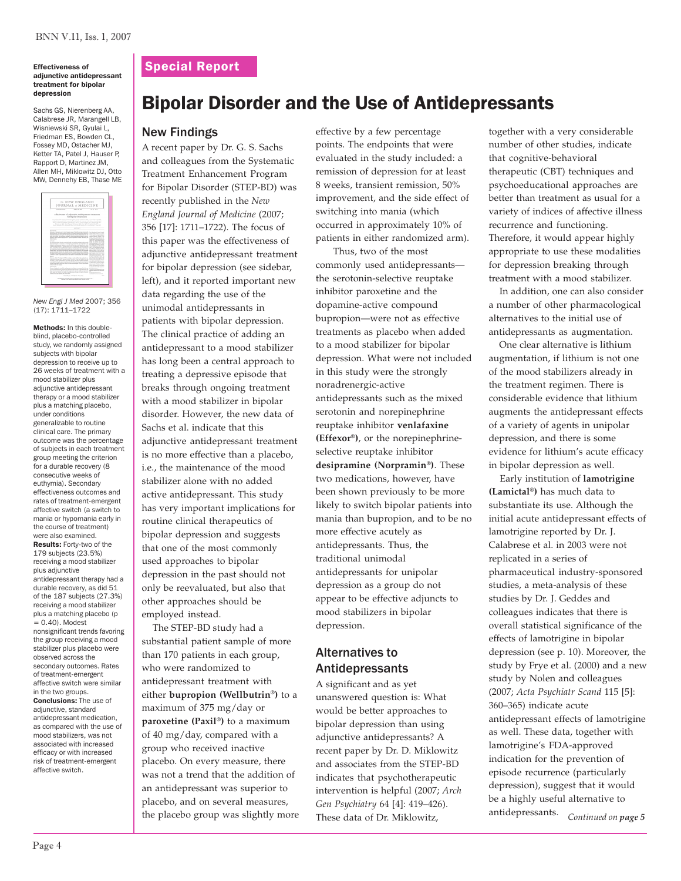#### Effectiveness of adjunctive antidepressant treatment for bipolar depression

Sachs GS, Nierenberg AA, Calabrese JR, Marangell LB, Wisniewski SR, Gyulai L, Friedman ES, Bowden CL, Fossey MD, Ostacher MJ, Ketter TA, Patel J, Hauser P, Rapport D, Martinez JM, Allen MH, Miklowitz DJ, Otto MW, Dennehy EB, Thase ME

|                                                                                                                                                                                                                                                                                                                                                                                                                                                                                                                                                                                                                                                                                                                                                                                                                                                                                                                                                                                                                                                                                                                                                                                                                                                                                                                                                                                                                                                                                                                                                                                                                                                                                                                                                                                                                                                                                                                                                                                                                                   | 19 NEW ENGLAND         |                                                                                                                                                                                                                                                                                                                                                                                                                                                                                                                                                                                                                                                                                                                                                                                                                                                                                                                                                                                                                                                                                                                                                      |
|-----------------------------------------------------------------------------------------------------------------------------------------------------------------------------------------------------------------------------------------------------------------------------------------------------------------------------------------------------------------------------------------------------------------------------------------------------------------------------------------------------------------------------------------------------------------------------------------------------------------------------------------------------------------------------------------------------------------------------------------------------------------------------------------------------------------------------------------------------------------------------------------------------------------------------------------------------------------------------------------------------------------------------------------------------------------------------------------------------------------------------------------------------------------------------------------------------------------------------------------------------------------------------------------------------------------------------------------------------------------------------------------------------------------------------------------------------------------------------------------------------------------------------------------------------------------------------------------------------------------------------------------------------------------------------------------------------------------------------------------------------------------------------------------------------------------------------------------------------------------------------------------------------------------------------------------------------------------------------------------------------------------------------------|------------------------|------------------------------------------------------------------------------------------------------------------------------------------------------------------------------------------------------------------------------------------------------------------------------------------------------------------------------------------------------------------------------------------------------------------------------------------------------------------------------------------------------------------------------------------------------------------------------------------------------------------------------------------------------------------------------------------------------------------------------------------------------------------------------------------------------------------------------------------------------------------------------------------------------------------------------------------------------------------------------------------------------------------------------------------------------------------------------------------------------------------------------------------------------|
| JOURNAL of MEDICINE                                                                                                                                                                                                                                                                                                                                                                                                                                                                                                                                                                                                                                                                                                                                                                                                                                                                                                                                                                                                                                                                                                                                                                                                                                                                                                                                                                                                                                                                                                                                                                                                                                                                                                                                                                                                                                                                                                                                                                                                               |                        |                                                                                                                                                                                                                                                                                                                                                                                                                                                                                                                                                                                                                                                                                                                                                                                                                                                                                                                                                                                                                                                                                                                                                      |
|                                                                                                                                                                                                                                                                                                                                                                                                                                                                                                                                                                                                                                                                                                                                                                                                                                                                                                                                                                                                                                                                                                                                                                                                                                                                                                                                                                                                                                                                                                                                                                                                                                                                                                                                                                                                                                                                                                                                                                                                                                   | -----                  | $- - -$                                                                                                                                                                                                                                                                                                                                                                                                                                                                                                                                                                                                                                                                                                                                                                                                                                                                                                                                                                                                                                                                                                                                              |
| Effectiveness of Allonoise Antibonossant Treatment                                                                                                                                                                                                                                                                                                                                                                                                                                                                                                                                                                                                                                                                                                                                                                                                                                                                                                                                                                                                                                                                                                                                                                                                                                                                                                                                                                                                                                                                                                                                                                                                                                                                                                                                                                                                                                                                                                                                                                                | for Blooker Depression |                                                                                                                                                                                                                                                                                                                                                                                                                                                                                                                                                                                                                                                                                                                                                                                                                                                                                                                                                                                                                                                                                                                                                      |
| Good bate \$15, bobs is licensing \$15, lowed Column \$15, lowed \$10, provident \$15.<br>States & Martinsky Ph.D., Lastin Count & H.D., Council Printers, R.O. Charles, Bossile, N.O.<br>But I has \$3.800 found \$1.870, bench the \$3.500,000.<br>because with their figure light large & Wallace With Shifted & Alan With<br>front deposits that states of the first first former that automated from her.                                                                                                                                                                                                                                                                                                                                                                                                                                                                                                                                                                                                                                                                                                                                                                                                                                                                                                                                                                                                                                                                                                                                                                                                                                                                                                                                                                                                                                                                                                                                                                                                                    |                        |                                                                                                                                                                                                                                                                                                                                                                                                                                                                                                                                                                                                                                                                                                                                                                                                                                                                                                                                                                                                                                                                                                                                                      |
|                                                                                                                                                                                                                                                                                                                                                                                                                                                                                                                                                                                                                                                                                                                                                                                                                                                                                                                                                                                                                                                                                                                                                                                                                                                                                                                                                                                                                                                                                                                                                                                                                                                                                                                                                                                                                                                                                                                                                                                                                                   | <b>Advised As</b>      |                                                                                                                                                                                                                                                                                                                                                                                                                                                                                                                                                                                                                                                                                                                                                                                                                                                                                                                                                                                                                                                                                                                                                      |
| Anyda at least to at the top flower year of duality atom to low link and well to a flow the top that<br>tingle dealer. The disciplines of which discussed addressed were for<br>features winds species/with looks fixeds likely depended was not<br>have not explicit, the major was designed to determine whether advances untilly<br>excust durant subury almost a Visular domains which hamaling for<br>ing of many<br><b>STATISTICS</b><br>is the furtherful standard commodational increasingly actively activity with<br>the far showed more to other speed of the price and the children of the first state of the children of the<br>allowing persharing the part of a teach publicat after a first sharing that the<br>earlies associate a sale data on 1 autobated data systems.<br>has alread how be send deady working also insured that of persons for<br>the Program and North Human of Management by Charles and and an analyze all the<br>know this. The street stands was the amother of which is only interest.<br>was made business in a both money is execute and of release.<br>be also allowed women of any discountered allows while<br>position made a homest sub to be once of manual new day marked.<br><b>STATISTICS</b><br>have no of the UV reduce (2074) models a monitorial from the advector are<br>Militana boat he chiefs summ a drift of the firms of the<br>analysis a tend and that also a marking sheets that all the products.<br>are much familiar the group modeling a most matthew play plan for some sharing<br>print in acceler moves. Les of manue energy afforts with any<br>statute to be not allow.<br><b>STATISTICS</b><br>The new of adversion, resolved and democrat medication, as a mount with being<br>of transformations was not approved with because of the set of the between that<br>d'access encore affecte solo à logos son prove soder en pobl e<br>left grow in tracks and risk of certifications decays for their phones.<br>ESSATISTICS are models. Millers with |                        | Kelly ad how limits \$10.5<br>Allegean top Monte Boyer<br>more more many to<br>Adviser Denvis in Ar<br>to take a motor and such as<br>at local firm formal change at<br>Strategies and the control of the<br>A.M. De Grande of Children<br>had to meet the first<br><b>Contractor Contractor</b><br>a problem in Concert school<br><b>A STATISTICS IN THE STATISTICS</b><br>a long-look door from the at-<br>an Fully & Harry of Way<br>a life of the life. Mr.<br>March Trade Colorado State Co<br>dealers to the first product of<br>the company's property and the com-<br>formed and the following property<br>sing with them as they<br>but artistan limits - Co<br>the book of the form of the con-<br>the chair ton in<br>Alto A committed products that<br>the case time with a<br>to an artist and a state of<br>the all states and the control of<br>a false in the air between<br>the Mary Street Market and the<br>the second control of the control<br>the adjaced boys down<br>and the company's art and<br>the two two dealers are string as a<br>------<br>to color common<br>with the Commission with a lot<br><b>THE RESIDENCE</b> |
| proposed at a second and sen-                                                                                                                                                                                                                                                                                                                                                                                                                                                                                                                                                                                                                                                                                                                                                                                                                                                                                                                                                                                                                                                                                                                                                                                                                                                                                                                                                                                                                                                                                                                                                                                                                                                                                                                                                                                                                                                                                                                                                                                                     |                        | c.<br>The product of the product of the control of the con-                                                                                                                                                                                                                                                                                                                                                                                                                                                                                                                                                                                                                                                                                                                                                                                                                                                                                                                                                                                                                                                                                          |

*New Engl J Med* 2007; 356 (17): 1711–1722

Methods: In this doubleblind, placebo-controlled study, we randomly assigned subjects with bipolar depression to receive up to 26 weeks of treatment with a mood stabilizer plus adjunctive antidepressant therapy or a mood stabilizer plus a matching placebo, under conditions generalizable to routine clinical care. The primary outcome was the percentage of subjects in each treatment group meeting the criterion for a durable recovery (8 consecutive weeks of euthymia). Secondary effectiveness outcomes and rates of treatment-emergent affective switch (a switch to mania or hypomania early in the course of treatment) were also examined. Results: Forty-two of the 179 subjects (23.5%) receiving a mood stabilizer plus adjunctive antidepressant therapy had a durable recovery, as did 51 of the 187 subjects (27.3%) receiving a mood stabilizer plus a matching placebo (p  $= 0.40$ ). Modest nonsignificant trends favoring the group receiving a mood stabilizer plus placebo were observed across the secondary outcomes. Rates of treatment-emergent affective switch were similar in the two groups. Conclusions: The use of adjunctive, standard antidepressant medication, as compared with the use of mood stabilizers, was not associated with increased

## Special Report

# Bipolar Disorder and the Use of Antidepressants

## New Findings

A recent paper by Dr. G. S. Sachs and colleagues from the Systematic Treatment Enhancement Program for Bipolar Disorder (STEP-BD) was recently published in the *New England Journal of Medicine* (2007; 356 [17]: 1711–1722). The focus of this paper was the effectiveness of adjunctive antidepressant treatment for bipolar depression (see sidebar, left), and it reported important new data regarding the use of the unimodal antidepressants in patients with bipolar depression. The clinical practice of adding an antidepressant to a mood stabilizer has long been a central approach to treating a depressive episode that breaks through ongoing treatment with a mood stabilizer in bipolar disorder. However, the new data of Sachs et al. indicate that this adjunctive antidepressant treatment is no more effective than a placebo, i.e., the maintenance of the mood stabilizer alone with no added active antidepressant. This study has very important implications for routine clinical therapeutics of bipolar depression and suggests that one of the most commonly used approaches to bipolar depression in the past should not only be reevaluated, but also that other approaches should be employed instead.

 The STEP-BD study had a substantial patient sample of more than 170 patients in each group, who were randomized to antidepressant treatment with either **bupropion (Wellbutrin®)** to a maximum of 375 mg/day or **paroxetine (Paxil®)** to a maximum of 40 mg/day, compared with a group who received inactive placebo. On every measure, there was not a trend that the addition of an antidepressant was superior to placebo, and on several measures, the placebo group was slightly more effective by a few percentage points. The endpoints that were evaluated in the study included: a remission of depression for at least 8 weeks, transient remission, 50% improvement, and the side effect of switching into mania (which occurred in approximately 10% of patients in either randomized arm).

Thus, two of the most commonly used antidepressants the serotonin-selective reuptake inhibitor paroxetine and the dopamine-active compound bupropion—were not as effective treatments as placebo when added to a mood stabilizer for bipolar depression. What were not included in this study were the strongly noradrenergic-active antidepressants such as the mixed serotonin and norepinephrine reuptake inhibitor **venlafaxine (Effexor®)**, or the norepinephrineselective reuptake inhibitor **desipramine (Norpramin®)**. These two medications, however, have been shown previously to be more likely to switch bipolar patients into mania than bupropion, and to be no more effective acutely as antidepressants. Thus, the traditional unimodal antidepressants for unipolar depression as a group do not appear to be effective adjuncts to mood stabilizers in bipolar depression.

## Alternatives to Antidepressants

A significant and as yet unanswered question is: What would be better approaches to bipolar depression than using adjunctive antidepressants? A recent paper by Dr. D. Miklowitz and associates from the STEP-BD indicates that psychotherapeutic intervention is helpful (2007; *Arch Gen Psychiatry* 64 [4]: 419–426). These data of Dr. Miklowitz,

together with a very considerable number of other studies, indicate that cognitive-behavioral therapeutic (CBT) techniques and psychoeducational approaches are better than treatment as usual for a variety of indices of affective illness recurrence and functioning. Therefore, it would appear highly appropriate to use these modalities for depression breaking through treatment with a mood stabilizer.

 In addition, one can also consider a number of other pharmacological alternatives to the initial use of antidepressants as augmentation.

 One clear alternative is lithium augmentation, if lithium is not one of the mood stabilizers already in the treatment regimen. There is considerable evidence that lithium augments the antidepressant effects of a variety of agents in unipolar depression, and there is some evidence for lithium's acute efficacy in bipolar depression as well.

*Continued on page 5* antidepressants. Early institution of **lamotrigine (Lamictal®)** has much data to substantiate its use. Although the initial acute antidepressant effects of lamotrigine reported by Dr. J. Calabrese et al. in 2003 were not replicated in a series of pharmaceutical industry-sponsored studies, a meta-analysis of these studies by Dr. J. Geddes and colleagues indicates that there is overall statistical significance of the effects of lamotrigine in bipolar depression (see p. 10). Moreover, the study by Frye et al. (2000) and a new study by Nolen and colleagues (2007; *Acta Psychiatr Scand* 115 [5]: 360–365) indicate acute antidepressant effects of lamotrigine as well. These data, together with lamotrigine's FDA-approved indication for the prevention of episode recurrence (particularly depression), suggest that it would be a highly useful alternative to

efficacy or with increased risk of treatment-emergent affective switch.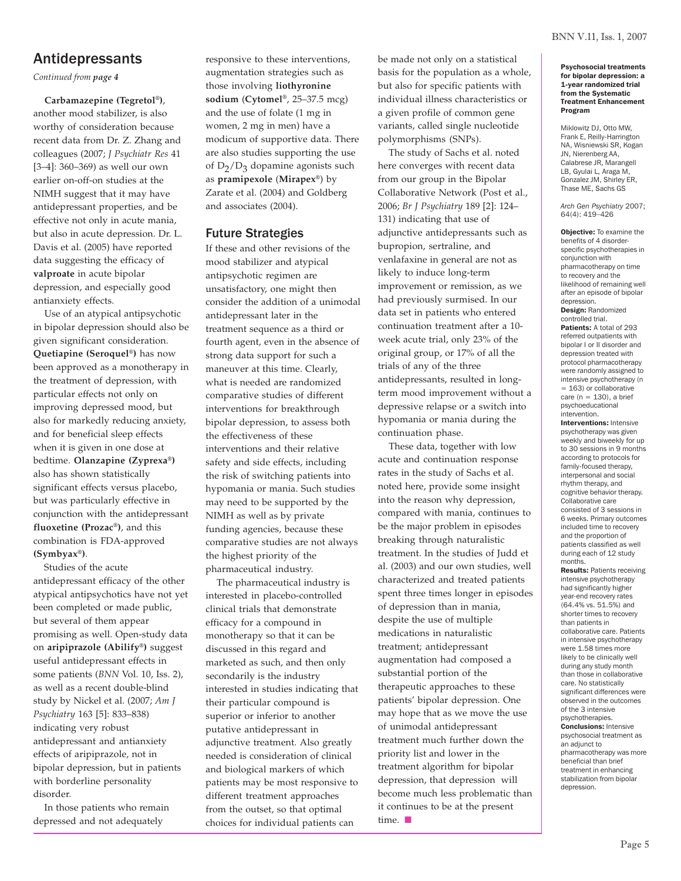## Antidepressants

*Continued from page 4*

 **Carbamazepine (Tegretol®)**, another mood stabilizer, is also worthy of consideration because recent data from Dr. Z. Zhang and colleagues (2007; *J Psychiatr Res* 41 [3–4]: 360–369) as well our own earlier on-off-on studies at the NIMH suggest that it may have antidepressant properties, and be effective not only in acute mania, but also in acute depression. Dr. L. Davis et al. (2005) have reported data suggesting the efficacy of **valproate** in acute bipolar depression, and especially good antianxiety effects.

 Use of an atypical antipsychotic in bipolar depression should also be given significant consideration. **Quetiapine (Seroquel®)** has now been approved as a monotherapy in the treatment of depression, with particular effects not only on improving depressed mood, but also for markedly reducing anxiety, and for beneficial sleep effects when it is given in one dose at bedtime. **Olanzapine (Zyprexa®)** also has shown statistically significant effects versus placebo, but was particularly effective in conjunction with the antidepressant **fluoxetine (Prozac®)**, and this combination is FDA-approved **(Symbyax®)**.

 Studies of the acute antidepressant efficacy of the other atypical antipsychotics have not yet been completed or made public, but several of them appear promising as well. Open-study data on **aripiprazole (Abilify®)** suggest useful antidepressant effects in some patients (*BNN* Vol. 10, Iss. 2), as well as a recent double-blind study by Nickel et al. (2007; *Am J Psychiatry* 163 [5]: 833–838) indicating very robust antidepressant and antianxiety effects of aripiprazole, not in bipolar depression, but in patients with borderline personality disorder.

 In those patients who remain depressed and not adequately

responsive to these interventions, augmentation strategies such as those involving **liothyronine sodium** (**Cytomel®**, 25–37.5 mcg) and the use of folate (1 mg in women, 2 mg in men) have a modicum of supportive data. There are also studies supporting the use of  $D_2/D_3$  dopamine agonists such as **pramipexole** (**Mirapex®**) by Zarate et al. (2004) and Goldberg and associates (2004).

## Future Strategies

If these and other revisions of the mood stabilizer and atypical antipsychotic regimen are unsatisfactory, one might then consider the addition of a unimodal antidepressant later in the treatment sequence as a third or fourth agent, even in the absence of strong data support for such a maneuver at this time. Clearly, what is needed are randomized comparative studies of different interventions for breakthrough bipolar depression, to assess both the effectiveness of these interventions and their relative safety and side effects, including the risk of switching patients into hypomania or mania. Such studies may need to be supported by the NIMH as well as by private funding agencies, because these comparative studies are not always the highest priority of the pharmaceutical industry.

 The pharmaceutical industry is interested in placebo-controlled clinical trials that demonstrate efficacy for a compound in monotherapy so that it can be discussed in this regard and marketed as such, and then only secondarily is the industry interested in studies indicating that their particular compound is superior or inferior to another putative antidepressant in adjunctive treatment. Also greatly needed is consideration of clinical and biological markers of which patients may be most responsive to different treatment approaches from the outset, so that optimal choices for individual patients can

be made not only on a statistical basis for the population as a whole, but also for specific patients with individual illness characteristics or a given profile of common gene variants, called single nucleotide polymorphisms (SNPs).

 The study of Sachs et al. noted here converges with recent data from our group in the Bipolar Collaborative Network (Post et al., 2006; *Br J Psychiatry* 189 [2]: 124– 131) indicating that use of adjunctive antidepressants such as bupropion, sertraline, and venlafaxine in general are not as likely to induce long-term improvement or remission, as we had previously surmised. In our data set in patients who entered continuation treatment after a 10 week acute trial, only 23% of the original group, or 17% of all the trials of any of the three antidepressants, resulted in longterm mood improvement without a depressive relapse or a switch into hypomania or mania during the continuation phase.

 These data, together with low acute and continuation response rates in the study of Sachs et al. noted here, provide some insight into the reason why depression, compared with mania, continues to be the major problem in episodes breaking through naturalistic treatment. In the studies of Judd et al. (2003) and our own studies, well characterized and treated patients spent three times longer in episodes of depression than in mania, despite the use of multiple medications in naturalistic treatment; antidepressant augmentation had composed a substantial portion of the therapeutic approaches to these patients' bipolar depression. One may hope that as we move the use of unimodal antidepressant treatment much further down the priority list and lower in the treatment algorithm for bipolar depression, that depression will become much less problematic than it continues to be at the present  $time.$ 

#### Psychosocial treatments for bipolar depression: a 1-year randomized trial from the Systematic Treatment Enhancement Program

Miklowitz DJ, Otto MW, Frank E, Reilly-Harrington NA, Wisniewski SR, Kogan JN, Nierenberg AA, Calabrese JR, Marangell LB, Gyulai L, Araga M, Gonzalez JM, Shirley ER, Thase ME, Sachs GS

*Arch Gen Psychiatry* 2007; 64(4): 419–426

Objective: To examine the benefits of 4 disorderspecific psychotherapies in conjunction with pharmacotherapy on time to recovery and the likelihood of remaining well after an episode of bipolar depression. Design: Randomized controlled trial. Patients: A total of 293 referred outpatients with bipolar I or II disorder and depression treated with protocol pharmacotherapy were randomly assigned to intensive psychotherapy (n  $= 163$ ) or collaborative care  $(n = 130)$ , a brief psychoeducational intervention. Interventions: Intensive psychotherapy was given weekly and biweekly for up to 30 sessions in 9 months according to protocols for family-focused therapy, interpersonal and social rhythm therapy, and cognitive behavior therapy. Collaborative care consisted of 3 sessions in 6 weeks. Primary outcomes included time to recovery and the proportion of patients classified as well during each of 12 study

months. Results: Patients receiving intensive psychotherapy had significantly higher year-end recovery rates (64.4% vs. 51.5%) and shorter times to recovery than patients in collaborative care. Patients in intensive psychotherapy were 1.58 times more likely to be clinically well during any study month than those in collaborative care. No statistically significant differences were observed in the outcomes of the 3 intensive psychotherapies. Conclusions: Intensive psychosocial treatment as an adjunct to pharmacotherapy was more beneficial than brief treatment in enhancing stabilization from bipolar depression.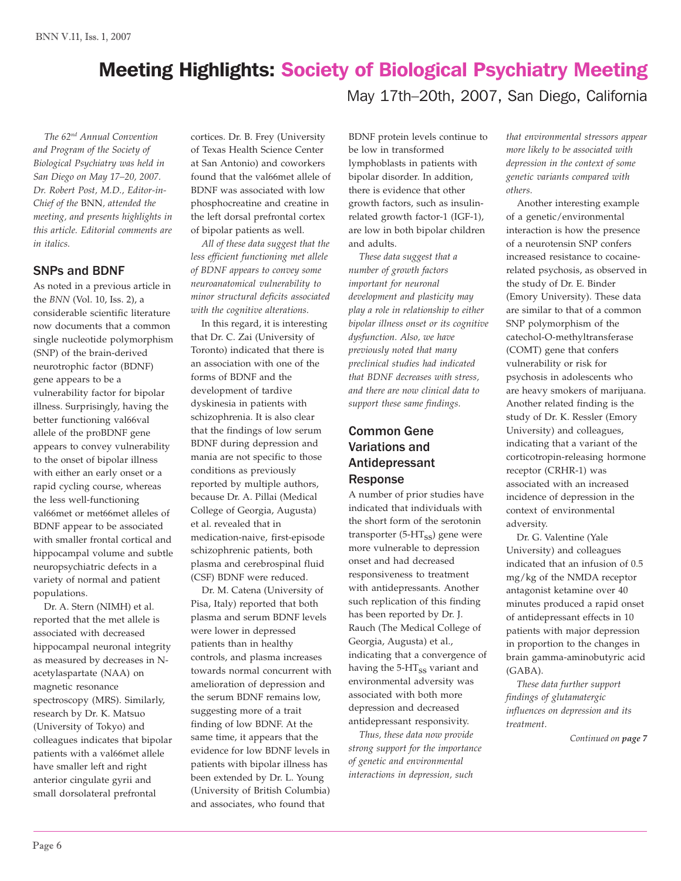# Meeting Highlights: Society of Biological Psychiatry Meeting

May 17th–20th, 2007, San Diego, California

 *The 62nd Annual Convention and Program of the Society of Biological Psychiatry was held in San Diego on May 17–20, 2007. Dr. Robert Post, M.D., Editor-in-Chief of the* BNN*, attended the meeting, and presents highlights in this article. Editorial comments are in italics.*

#### SNPs and BDNF

As noted in a previous article in the *BNN* (Vol. 10, Iss. 2), a considerable scientific literature now documents that a common single nucleotide polymorphism (SNP) of the brain-derived neurotrophic factor (BDNF) gene appears to be a vulnerability factor for bipolar illness. Surprisingly, having the better functioning val66val allele of the proBDNF gene appears to convey vulnerability to the onset of bipolar illness with either an early onset or a rapid cycling course, whereas the less well-functioning val66met or met66met alleles of BDNF appear to be associated with smaller frontal cortical and hippocampal volume and subtle neuropsychiatric defects in a variety of normal and patient populations.

 Dr. A. Stern (NIMH) et al. reported that the met allele is associated with decreased hippocampal neuronal integrity as measured by decreases in Nacetylaspartate (NAA) on magnetic resonance spectroscopy (MRS). Similarly, research by Dr. K. Matsuo (University of Tokyo) and colleagues indicates that bipolar patients with a val66met allele have smaller left and right anterior cingulate gyrii and small dorsolateral prefrontal

cortices. Dr. B. Frey (University of Texas Health Science Center at San Antonio) and coworkers found that the val66met allele of BDNF was associated with low phosphocreatine and creatine in the left dorsal prefrontal cortex of bipolar patients as well.

 *All of these data suggest that the less efficient functioning met allele of BDNF appears to convey some neuroanatomical vulnerability to minor structural deficits associated with the cognitive alterations.*

 In this regard, it is interesting that Dr. C. Zai (University of Toronto) indicated that there is an association with one of the forms of BDNF and the development of tardive dyskinesia in patients with schizophrenia. It is also clear that the findings of low serum BDNF during depression and mania are not specific to those conditions as previously reported by multiple authors, because Dr. A. Pillai (Medical College of Georgia, Augusta) et al. revealed that in medication-naive, first-episode schizophrenic patients, both plasma and cerebrospinal fluid (CSF) BDNF were reduced.

Dr. M. Catena (University of Pisa, Italy) reported that both plasma and serum BDNF levels were lower in depressed patients than in healthy controls, and plasma increases towards normal concurrent with amelioration of depression and the serum BDNF remains low, suggesting more of a trait finding of low BDNF. At the same time, it appears that the evidence for low BDNF levels in patients with bipolar illness has been extended by Dr. L. Young (University of British Columbia) and associates, who found that

BDNF protein levels continue to be low in transformed lymphoblasts in patients with bipolar disorder. In addition, there is evidence that other growth factors, such as insulinrelated growth factor-1 (IGF-1), are low in both bipolar children and adults.

 *These data suggest that a number of growth factors important for neuronal development and plasticity may play a role in relationship to either bipolar illness onset or its cognitive dysfunction. Also, we have previously noted that many preclinical studies had indicated that BDNF decreases with stress, and there are now clinical data to support these same findings.*

## Common Gene Variations and Antidepressant Response

A number of prior studies have indicated that individuals with the short form of the serotonin transporter  $(5-HT_{SS})$  gene were more vulnerable to depression onset and had decreased responsiveness to treatment with antidepressants. Another such replication of this finding has been reported by Dr. J. Rauch (The Medical College of Georgia, Augusta) et al., indicating that a convergence of having the 5-HT<sub>ss</sub> variant and environmental adversity was associated with both more depression and decreased antidepressant responsivity.

 *Thus, these data now provide strong support for the importance of genetic and environmental interactions in depression, such*

*that environmental stressors appear more likely to be associated with depression in the context of some genetic variants compared with others.*

 Another interesting example of a genetic/environmental interaction is how the presence of a neurotensin SNP confers increased resistance to cocainerelated psychosis, as observed in the study of Dr. E. Binder (Emory University). These data are similar to that of a common SNP polymorphism of the catechol-O-methyltransferase (COMT) gene that confers vulnerability or risk for psychosis in adolescents who are heavy smokers of marijuana. Another related finding is the study of Dr. K. Ressler (Emory University) and colleagues, indicating that a variant of the corticotropin-releasing hormone receptor (CRHR-1) was associated with an increased incidence of depression in the context of environmental adversity.

 Dr. G. Valentine (Yale University) and colleagues indicated that an infusion of 0.5 mg/kg of the NMDA receptor antagonist ketamine over 40 minutes produced a rapid onset of antidepressant effects in 10 patients with major depression in proportion to the changes in brain gamma-aminobutyric acid (GABA).

 *These data further support findings of glutamatergic influences on depression and its treatment.*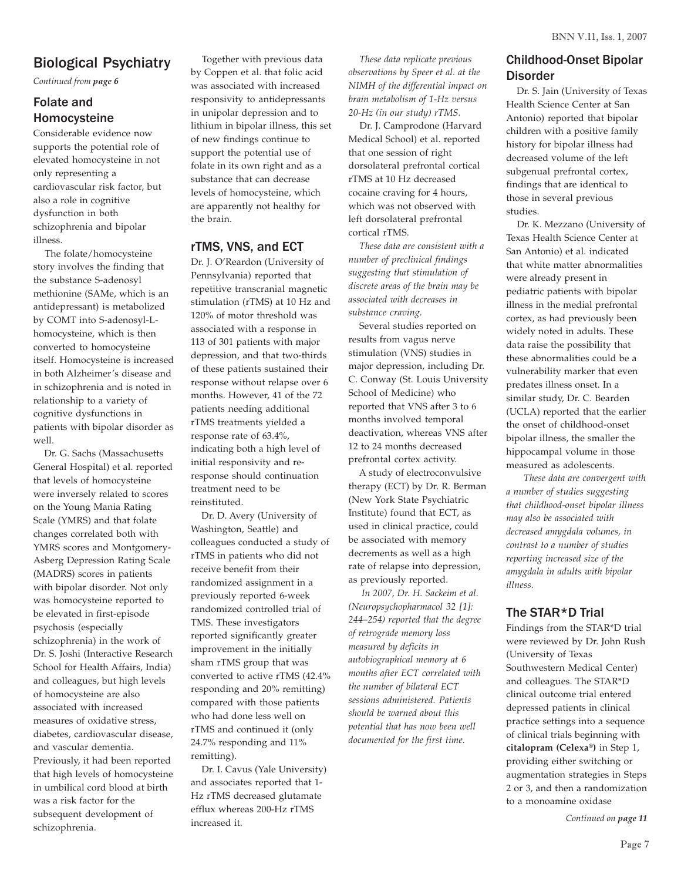## Biological Psychiatry

*Continued from page 6*

## Folate and Homocysteine

Considerable evidence now supports the potential role of elevated homocysteine in not only representing a cardiovascular risk factor, but also a role in cognitive dysfunction in both schizophrenia and bipolar illness.

 The folate/homocysteine story involves the finding that the substance S-adenosyl methionine (SAMe, which is an antidepressant) is metabolized by COMT into S-adenosyl-Lhomocysteine, which is then converted to homocysteine itself. Homocysteine is increased in both Alzheimer's disease and in schizophrenia and is noted in relationship to a variety of cognitive dysfunctions in patients with bipolar disorder as well.

 Dr. G. Sachs (Massachusetts General Hospital) et al. reported that levels of homocysteine were inversely related to scores on the Young Mania Rating Scale (YMRS) and that folate changes correlated both with YMRS scores and Montgomery-Asberg Depression Rating Scale (MADRS) scores in patients with bipolar disorder. Not only was homocysteine reported to be elevated in first-episode psychosis (especially schizophrenia) in the work of Dr. S. Joshi (Interactive Research School for Health Affairs, India) and colleagues, but high levels of homocysteine are also associated with increased measures of oxidative stress, diabetes, cardiovascular disease, and vascular dementia. Previously, it had been reported that high levels of homocysteine in umbilical cord blood at birth was a risk factor for the subsequent development of schizophrenia.

 Together with previous data by Coppen et al. that folic acid was associated with increased responsivity to antidepressants in unipolar depression and to lithium in bipolar illness, this set of new findings continue to support the potential use of folate in its own right and as a substance that can decrease levels of homocysteine, which are apparently not healthy for the brain.

#### rTMS, VNS, and ECT

Dr. J. O'Reardon (University of Pennsylvania) reported that repetitive transcranial magnetic stimulation (rTMS) at 10 Hz and 120% of motor threshold was associated with a response in 113 of 301 patients with major depression, and that two-thirds of these patients sustained their response without relapse over 6 months. However, 41 of the 72 patients needing additional rTMS treatments yielded a response rate of 63.4%, indicating both a high level of initial responsivity and reresponse should continuation treatment need to be reinstituted.

 Dr. D. Avery (University of Washington, Seattle) and colleagues conducted a study of rTMS in patients who did not receive benefit from their randomized assignment in a previously reported 6-week randomized controlled trial of TMS. These investigators reported significantly greater improvement in the initially sham rTMS group that was converted to active rTMS (42.4% responding and 20% remitting) compared with those patients who had done less well on rTMS and continued it (only 24.7% responding and 11% remitting).

 Dr. I. Cavus (Yale University) and associates reported that 1- Hz rTMS decreased glutamate efflux whereas 200-Hz rTMS increased it.

 *These data replicate previous observations by Speer et al. at the NIMH of the differential impact on brain metabolism of 1-Hz versus 20-Hz (in our study) rTMS.*

 Dr. J. Camprodone (Harvard Medical School) et al. reported that one session of right dorsolateral prefrontal cortical rTMS at 10 Hz decreased cocaine craving for 4 hours, which was not observed with left dorsolateral prefrontal cortical rTMS.

 *These data are consistent with a number of preclinical findings suggesting that stimulation of discrete areas of the brain may be associated with decreases in substance craving.*

 Several studies reported on results from vagus nerve stimulation (VNS) studies in major depression, including Dr. C. Conway (St. Louis University School of Medicine) who reported that VNS after 3 to 6 months involved temporal deactivation, whereas VNS after 12 to 24 months decreased prefrontal cortex activity.

 A study of electroconvulsive therapy (ECT) by Dr. R. Berman (New York State Psychiatric Institute) found that ECT, as used in clinical practice, could be associated with memory decrements as well as a high rate of relapse into depression, as previously reported.

 *In 2007, Dr. H. Sackeim et al. (Neuropsychopharmacol 32 [1]: 244–254) reported that the degree of retrograde memory loss measured by deficits in autobiographical memory at 6 months after ECT correlated with the number of bilateral ECT sessions administered. Patients should be warned about this potential that has now been well documented for the first time.*

## Childhood-Onset Bipolar Disorder

Dr. S. Jain (University of Texas Health Science Center at San Antonio) reported that bipolar children with a positive family history for bipolar illness had decreased volume of the left subgenual prefrontal cortex, findings that are identical to those in several previous studies.

 Dr. K. Mezzano (University of Texas Health Science Center at San Antonio) et al. indicated that white matter abnormalities were already present in pediatric patients with bipolar illness in the medial prefrontal cortex, as had previously been widely noted in adults. These data raise the possibility that these abnormalities could be a vulnerability marker that even predates illness onset. In a similar study, Dr. C. Bearden (UCLA) reported that the earlier the onset of childhood-onset bipolar illness, the smaller the hippocampal volume in those measured as adolescents.

*These data are convergent with a number of studies suggesting that childhood-onset bipolar illness may also be associated with decreased amygdala volumes, in contrast to a number of studies reporting increased size of the amygdala in adults with bipolar illness.*

## The STAR\*D Trial

Findings from the STAR\*D trial were reviewed by Dr. John Rush (University of Texas Southwestern Medical Center) and colleagues. The STAR\*D clinical outcome trial entered depressed patients in clinical practice settings into a sequence of clinical trials beginning with **citalopram (Celexa®)** in Step 1, providing either switching or augmentation strategies in Steps 2 or 3, and then a randomization to a monoamine oxidase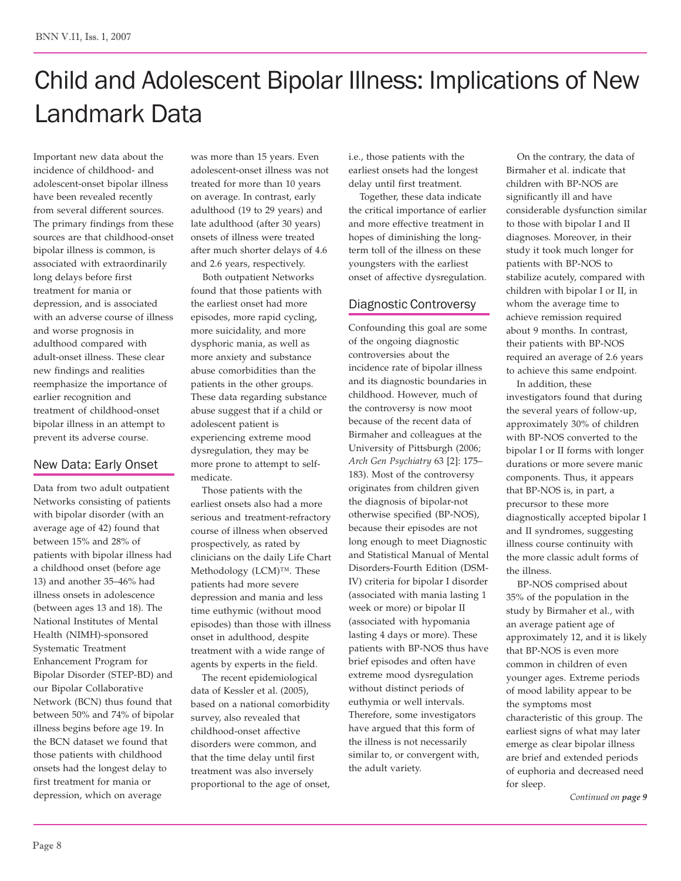# Child and Adolescent Bipolar Illness: Implications of New Landmark Data

Important new data about the incidence of childhood- and adolescent-onset bipolar illness have been revealed recently from several different sources. The primary findings from these sources are that childhood-onset bipolar illness is common, is associated with extraordinarily long delays before first treatment for mania or depression, and is associated with an adverse course of illness and worse prognosis in adulthood compared with adult-onset illness. These clear new findings and realities reemphasize the importance of earlier recognition and treatment of childhood-onset bipolar illness in an attempt to prevent its adverse course.

## New Data: Early Onset

Data from two adult outpatient Networks consisting of patients with bipolar disorder (with an average age of 42) found that between 15% and 28% of patients with bipolar illness had a childhood onset (before age 13) and another 35–46% had illness onsets in adolescence (between ages 13 and 18). The National Institutes of Mental Health (NIMH)-sponsored Systematic Treatment Enhancement Program for Bipolar Disorder (STEP-BD) and our Bipolar Collaborative Network (BCN) thus found that between 50% and 74% of bipolar illness begins before age 19. In the BCN dataset we found that those patients with childhood onsets had the longest delay to first treatment for mania or depression, which on average

was more than 15 years. Even adolescent-onset illness was not treated for more than 10 years on average. In contrast, early adulthood (19 to 29 years) and late adulthood (after 30 years) onsets of illness were treated after much shorter delays of 4.6 and 2.6 years, respectively.

 Both outpatient Networks found that those patients with the earliest onset had more episodes, more rapid cycling, more suicidality, and more dysphoric mania, as well as more anxiety and substance abuse comorbidities than the patients in the other groups. These data regarding substance abuse suggest that if a child or adolescent patient is experiencing extreme mood dysregulation, they may be more prone to attempt to selfmedicate.

 Those patients with the earliest onsets also had a more serious and treatment-refractory course of illness when observed prospectively, as rated by clinicians on the daily Life Chart Methodology (LCM)™. These patients had more severe depression and mania and less time euthymic (without mood episodes) than those with illness onset in adulthood, despite treatment with a wide range of agents by experts in the field.

 The recent epidemiological data of Kessler et al. (2005), based on a national comorbidity survey, also revealed that childhood-onset affective disorders were common, and that the time delay until first treatment was also inversely proportional to the age of onset, i.e., those patients with the earliest onsets had the longest delay until first treatment.

 Together, these data indicate the critical importance of earlier and more effective treatment in hopes of diminishing the longterm toll of the illness on these youngsters with the earliest onset of affective dysregulation.

## Diagnostic Controversy

Confounding this goal are some of the ongoing diagnostic controversies about the incidence rate of bipolar illness and its diagnostic boundaries in childhood. However, much of the controversy is now moot because of the recent data of Birmaher and colleagues at the University of Pittsburgh (2006; *Arch Gen Psychiatry* 63 [2]: 175– 183). Most of the controversy originates from children given the diagnosis of bipolar-not otherwise specified (BP-NOS), because their episodes are not long enough to meet Diagnostic and Statistical Manual of Mental Disorders-Fourth Edition (DSM-IV) criteria for bipolar I disorder (associated with mania lasting 1 week or more) or bipolar II (associated with hypomania lasting 4 days or more). These patients with BP-NOS thus have brief episodes and often have extreme mood dysregulation without distinct periods of euthymia or well intervals. Therefore, some investigators have argued that this form of the illness is not necessarily similar to, or convergent with, the adult variety.

 On the contrary, the data of Birmaher et al. indicate that children with BP-NOS are significantly ill and have considerable dysfunction similar to those with bipolar I and II diagnoses. Moreover, in their study it took much longer for patients with BP-NOS to stabilize acutely, compared with children with bipolar I or II, in whom the average time to achieve remission required about 9 months. In contrast, their patients with BP-NOS required an average of 2.6 years to achieve this same endpoint. In addition, these

investigators found that during the several years of follow-up, approximately 30% of children with BP-NOS converted to the bipolar I or II forms with longer durations or more severe manic components. Thus, it appears that BP-NOS is, in part, a precursor to these more diagnostically accepted bipolar I and II syndromes, suggesting illness course continuity with the more classic adult forms of the illness.

 BP-NOS comprised about 35% of the population in the study by Birmaher et al., with an average patient age of approximately 12, and it is likely that BP-NOS is even more common in children of even younger ages. Extreme periods of mood lability appear to be the symptoms most characteristic of this group. The earliest signs of what may later emerge as clear bipolar illness are brief and extended periods of euphoria and decreased need for sleep.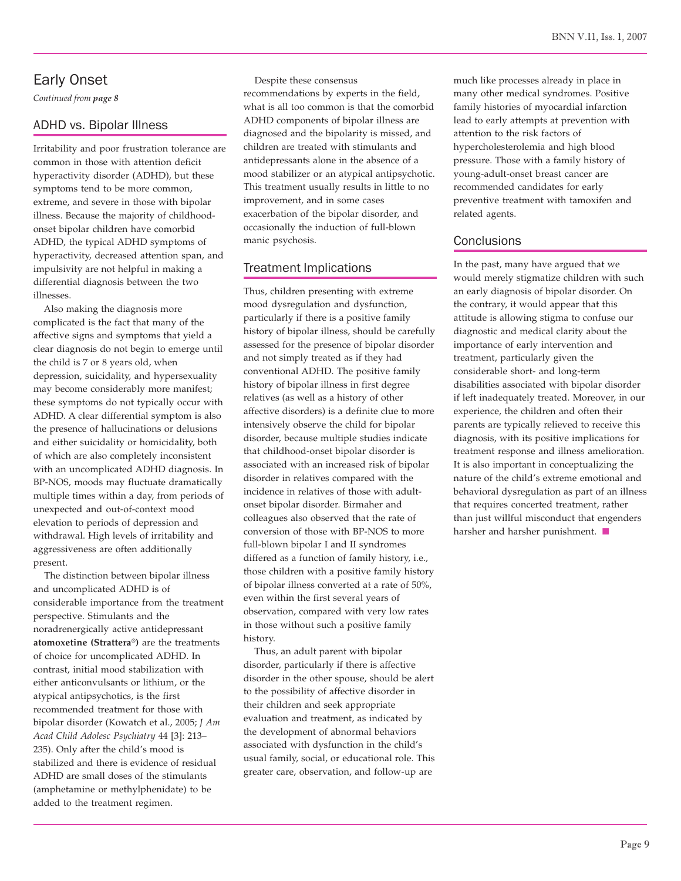## Early Onset

*Continued from page 8*

### ADHD vs. Bipolar Illness

Irritability and poor frustration tolerance are common in those with attention deficit hyperactivity disorder (ADHD), but these symptoms tend to be more common, extreme, and severe in those with bipolar illness. Because the majority of childhoodonset bipolar children have comorbid ADHD, the typical ADHD symptoms of hyperactivity, decreased attention span, and impulsivity are not helpful in making a differential diagnosis between the two illnesses.

 Also making the diagnosis more complicated is the fact that many of the affective signs and symptoms that yield a clear diagnosis do not begin to emerge until the child is 7 or 8 years old, when depression, suicidality, and hypersexuality may become considerably more manifest; these symptoms do not typically occur with ADHD. A clear differential symptom is also the presence of hallucinations or delusions and either suicidality or homicidality, both of which are also completely inconsistent with an uncomplicated ADHD diagnosis. In BP-NOS, moods may fluctuate dramatically multiple times within a day, from periods of unexpected and out-of-context mood elevation to periods of depression and withdrawal. High levels of irritability and aggressiveness are often additionally present.

 The distinction between bipolar illness and uncomplicated ADHD is of considerable importance from the treatment perspective. Stimulants and the noradrenergically active antidepressant **atomoxetine (Strattera®)** are the treatments of choice for uncomplicated ADHD. In contrast, initial mood stabilization with either anticonvulsants or lithium, or the atypical antipsychotics, is the first recommended treatment for those with bipolar disorder (Kowatch et al., 2005; *J Am Acad Child Adolesc Psychiatry* 44 [3]: 213– 235). Only after the child's mood is stabilized and there is evidence of residual ADHD are small doses of the stimulants (amphetamine or methylphenidate) to be added to the treatment regimen.

 Despite these consensus recommendations by experts in the field, what is all too common is that the comorbid ADHD components of bipolar illness are diagnosed and the bipolarity is missed, and children are treated with stimulants and antidepressants alone in the absence of a mood stabilizer or an atypical antipsychotic. This treatment usually results in little to no improvement, and in some cases exacerbation of the bipolar disorder, and occasionally the induction of full-blown manic psychosis.

## Treatment Implications

Thus, children presenting with extreme mood dysregulation and dysfunction, particularly if there is a positive family history of bipolar illness, should be carefully assessed for the presence of bipolar disorder and not simply treated as if they had conventional ADHD. The positive family history of bipolar illness in first degree relatives (as well as a history of other affective disorders) is a definite clue to more intensively observe the child for bipolar disorder, because multiple studies indicate that childhood-onset bipolar disorder is associated with an increased risk of bipolar disorder in relatives compared with the incidence in relatives of those with adultonset bipolar disorder. Birmaher and colleagues also observed that the rate of conversion of those with BP-NOS to more full-blown bipolar I and II syndromes differed as a function of family history, i.e., those children with a positive family history of bipolar illness converted at a rate of 50%, even within the first several years of observation, compared with very low rates in those without such a positive family history.

 Thus, an adult parent with bipolar disorder, particularly if there is affective disorder in the other spouse, should be alert to the possibility of affective disorder in their children and seek appropriate evaluation and treatment, as indicated by the development of abnormal behaviors associated with dysfunction in the child's usual family, social, or educational role. This greater care, observation, and follow-up are

much like processes already in place in many other medical syndromes. Positive family histories of myocardial infarction lead to early attempts at prevention with attention to the risk factors of hypercholesterolemia and high blood pressure. Those with a family history of young-adult-onset breast cancer are recommended candidates for early preventive treatment with tamoxifen and related agents.

#### **Conclusions**

In the past, many have argued that we would merely stigmatize children with such an early diagnosis of bipolar disorder. On the contrary, it would appear that this attitude is allowing stigma to confuse our diagnostic and medical clarity about the importance of early intervention and treatment, particularly given the considerable short- and long-term disabilities associated with bipolar disorder if left inadequately treated. Moreover, in our experience, the children and often their parents are typically relieved to receive this diagnosis, with its positive implications for treatment response and illness amelioration. It is also important in conceptualizing the nature of the child's extreme emotional and behavioral dysregulation as part of an illness that requires concerted treatment, rather than just willful misconduct that engenders harsher and harsher punishment.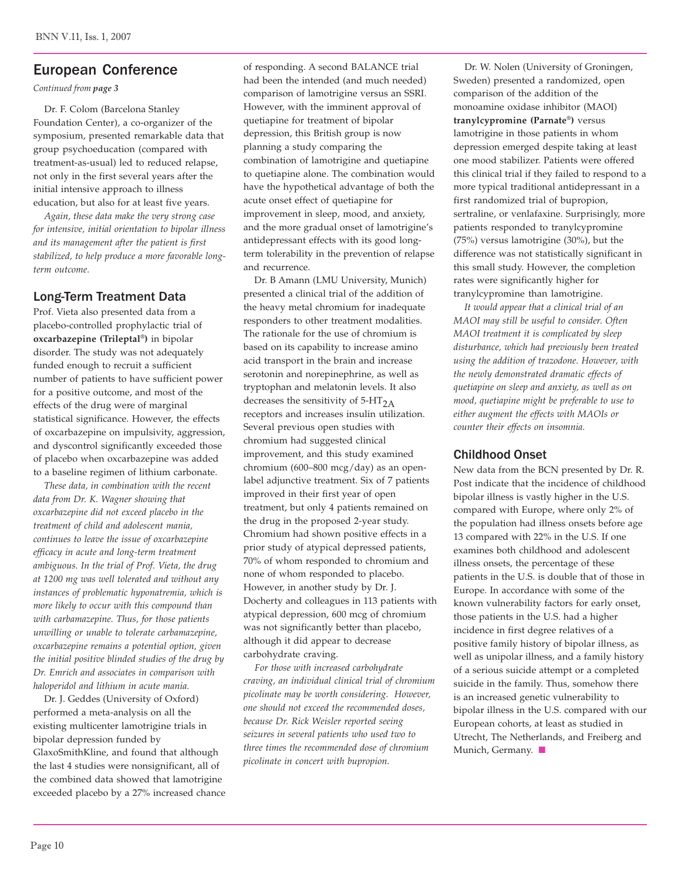## European Conference

*Continued from page 3*

 Dr. F. Colom (Barcelona Stanley Foundation Center), a co-organizer of the symposium, presented remarkable data that group psychoeducation (compared with treatment-as-usual) led to reduced relapse, not only in the first several years after the initial intensive approach to illness education, but also for at least five years.

 *Again, these data make the very strong case for intensive, initial orientation to bipolar illness and its management after the patient is first stabilized, to help produce a more favorable longterm outcome.*

#### Long-Term Treatment Data

Prof. Vieta also presented data from a placebo-controlled prophylactic trial of **oxcarbazepine (Trileptal®)** in bipolar disorder. The study was not adequately funded enough to recruit a sufficient number of patients to have sufficient power for a positive outcome, and most of the effects of the drug were of marginal statistical significance. However, the effects of oxcarbazepine on impulsivity, aggression, and dyscontrol significantly exceeded those of placebo when oxcarbazepine was added to a baseline regimen of lithium carbonate.

 *These data, in combination with the recent data from Dr. K. Wagner showing that oxcarbazepine did not exceed placebo in the treatment of child and adolescent mania, continues to leave the issue of oxcarbazepine efficacy in acute and long-term treatment ambiguous. In the trial of Prof. Vieta, the drug at 1200 mg was well tolerated and without any instances of problematic hyponatremia, which is more likely to occur with this compound than with carbamazepine. Thus, for those patients unwilling or unable to tolerate carbamazepine, oxcarbazepine remains a potential option, given the initial positive blinded studies of the drug by Dr. Emrich and associates in comparison with haloperidol and lithium in acute mania.*

 Dr. J. Geddes (University of Oxford) performed a meta-analysis on all the existing multicenter lamotrigine trials in bipolar depression funded by GlaxoSmithKline, and found that although the last 4 studies were nonsignificant, all of the combined data showed that lamotrigine exceeded placebo by a 27% increased chance of responding. A second BALANCE trial had been the intended (and much needed) comparison of lamotrigine versus an SSRI. However, with the imminent approval of quetiapine for treatment of bipolar depression, this British group is now planning a study comparing the combination of lamotrigine and quetiapine to quetiapine alone. The combination would have the hypothetical advantage of both the acute onset effect of quetiapine for improvement in sleep, mood, and anxiety, and the more gradual onset of lamotrigine's antidepressant effects with its good longterm tolerability in the prevention of relapse and recurrence.

 Dr. B Amann (LMU University, Munich) presented a clinical trial of the addition of the heavy metal chromium for inadequate responders to other treatment modalities. The rationale for the use of chromium is based on its capability to increase amino acid transport in the brain and increase serotonin and norepinephrine, as well as tryptophan and melatonin levels. It also decreases the sensitivity of  $5-HT_{2A}$ receptors and increases insulin utilization. Several previous open studies with chromium had suggested clinical improvement, and this study examined chromium (600–800 mcg/day) as an openlabel adjunctive treatment. Six of 7 patients improved in their first year of open treatment, but only 4 patients remained on the drug in the proposed 2-year study. Chromium had shown positive effects in a prior study of atypical depressed patients, 70% of whom responded to chromium and none of whom responded to placebo. However, in another study by Dr. J. Docherty and colleagues in 113 patients with atypical depression, 600 mcg of chromium was not significantly better than placebo, although it did appear to decrease carbohydrate craving.

 *For those with increased carbohydrate craving, an individual clinical trial of chromium picolinate may be worth considering. However, one should not exceed the recommended doses, because Dr. Rick Weisler reported seeing seizures in several patients who used two to three times the recommended dose of chromium picolinate in concert with bupropion.*

 Dr. W. Nolen (University of Groningen, Sweden) presented a randomized, open comparison of the addition of the monoamine oxidase inhibitor (MAOI) **tranylcypromine (Parnate®)** versus lamotrigine in those patients in whom depression emerged despite taking at least one mood stabilizer. Patients were offered this clinical trial if they failed to respond to a more typical traditional antidepressant in a first randomized trial of bupropion, sertraline, or venlafaxine. Surprisingly, more patients responded to tranylcypromine (75%) versus lamotrigine (30%), but the difference was not statistically significant in this small study. However, the completion rates were significantly higher for tranylcypromine than lamotrigine.

 *It would appear that a clinical trial of an MAOI may still be useful to consider. Often MAOI treatment it is complicated by sleep disturbance, which had previously been treated using the addition of trazodone. However, with the newly demonstrated dramatic effects of quetiapine on sleep and anxiety, as well as on mood, quetiapine might be preferable to use to either augment the effects with MAOIs or counter their effects on insomnia.*

#### Childhood Onset

New data from the BCN presented by Dr. R. Post indicate that the incidence of childhood bipolar illness is vastly higher in the U.S. compared with Europe, where only 2% of the population had illness onsets before age 13 compared with 22% in the U.S. If one examines both childhood and adolescent illness onsets, the percentage of these patients in the U.S. is double that of those in Europe. In accordance with some of the known vulnerability factors for early onset, those patients in the U.S. had a higher incidence in first degree relatives of a positive family history of bipolar illness, as well as unipolar illness, and a family history of a serious suicide attempt or a completed suicide in the family. Thus, somehow there is an increased genetic vulnerability to bipolar illness in the U.S. compared with our European cohorts, at least as studied in Utrecht, The Netherlands, and Freiberg and Munich, Germany.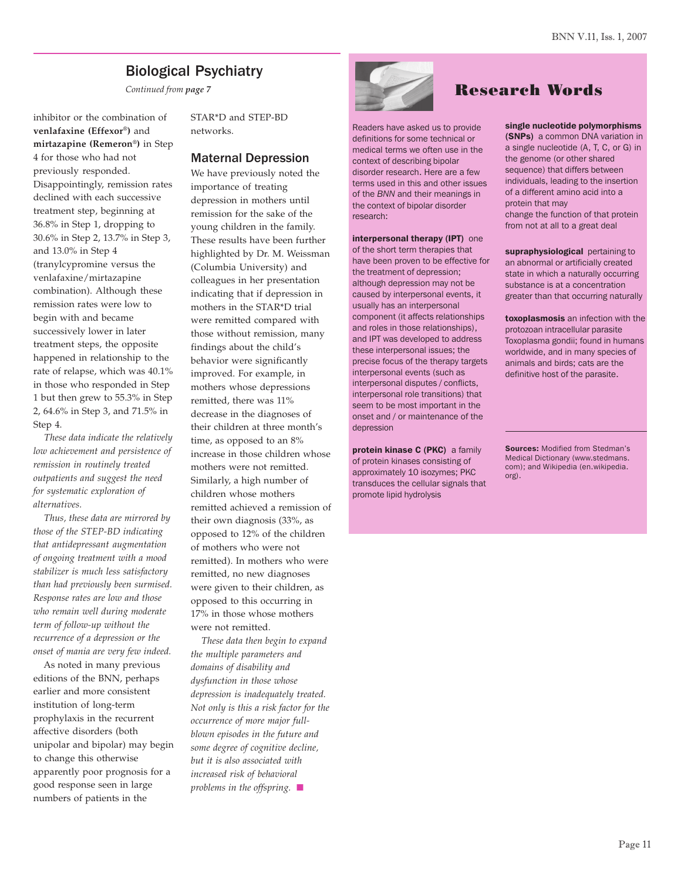## Biological Psychiatry

*Continued from page 7*

inhibitor or the combination of **venlafaxine (Effexor®)** and **mirtazapine (Remeron®)** in Step 4 for those who had not previously responded. Disappointingly, remission rates declined with each successive treatment step, beginning at 36.8% in Step 1, dropping to 30.6% in Step 2, 13.7% in Step 3, and 13.0% in Step 4 (tranylcypromine versus the venlafaxine/mirtazapine combination). Although these remission rates were low to begin with and became successively lower in later treatment steps, the opposite happened in relationship to the rate of relapse, which was 40.1% in those who responded in Step 1 but then grew to 55.3% in Step 2, 64.6% in Step 3, and 71.5% in Step 4.

 *These data indicate the relatively low achievement and persistence of remission in routinely treated outpatients and suggest the need for systematic exploration of alternatives.*

*Thus, these data are mirrored by those of the STEP-BD indicating that antidepressant augmentation of ongoing treatment with a mood stabilizer is much less satisfactory than had previously been surmised. Response rates are low and those who remain well during moderate term of follow-up without the recurrence of a depression or the onset of mania are very few indeed.*

 As noted in many previous editions of the BNN, perhaps earlier and more consistent institution of long-term prophylaxis in the recurrent affective disorders (both unipolar and bipolar) may begin to change this otherwise apparently poor prognosis for a good response seen in large numbers of patients in the

STAR\*D and STEP-BD networks.

#### Maternal Depression

We have previously noted the importance of treating depression in mothers until remission for the sake of the young children in the family. These results have been further highlighted by Dr. M. Weissman (Columbia University) and colleagues in her presentation indicating that if depression in mothers in the STAR\*D trial were remitted compared with those without remission, many findings about the child's behavior were significantly improved. For example, in mothers whose depressions remitted, there was 11% decrease in the diagnoses of their children at three month's time, as opposed to an 8% increase in those children whose mothers were not remitted. Similarly, a high number of children whose mothers remitted achieved a remission of their own diagnosis (33%, as opposed to 12% of the children of mothers who were not remitted). In mothers who were remitted, no new diagnoses were given to their children, as opposed to this occurring in 17% in those whose mothers were not remitted.

 *These data then begin to expand the multiple parameters and domains of disability and dysfunction in those whose depression is inadequately treated. Not only is this a risk factor for the occurrence of more major fullblown episodes in the future and some degree of cognitive decline, but it is also associated with increased risk of behavioral problems in the offspring.* "



# Research Words

Readers have asked us to provide definitions for some technical or medical terms we often use in the context of describing bipolar disorder research. Here are a few terms used in this and other issues of the *BNN* and their meanings in the context of bipolar disorder research:

interpersonal therapy (IPT) one of the short term therapies that have been proven to be effective for the treatment of depression; although depression may not be caused by interpersonal events, it usually has an interpersonal component (it affects relationships and roles in those relationships), and IPT was developed to address these interpersonal issues; the precise focus of the therapy targets interpersonal events (such as interpersonal disputes / conflicts, interpersonal role transitions) that seem to be most important in the onset and / or maintenance of the depression

protein kinase C (PKC) a family of protein kinases consisting of approximately 10 isozymes; PKC transduces the cellular signals that promote lipid hydrolysis

single nucleotide polymorphisms (SNPs) a common DNA variation in a single nucleotide (A, T, C, or G) in the genome (or other shared sequence) that differs between individuals, leading to the insertion of a different amino acid into a protein that may change the function of that protein from not at all to a great deal

supraphysiological pertaining to an abnormal or artificially created state in which a naturally occurring substance is at a concentration greater than that occurring naturally

toxoplasmosis an infection with the protozoan intracellular parasite Toxoplasma gondii; found in humans worldwide, and in many species of animals and birds; cats are the definitive host of the parasite.

**Sources: Modified from Stedman's** Medical Dictionary (www.stedmans. com); and Wikipedia (en.wikipedia. org).